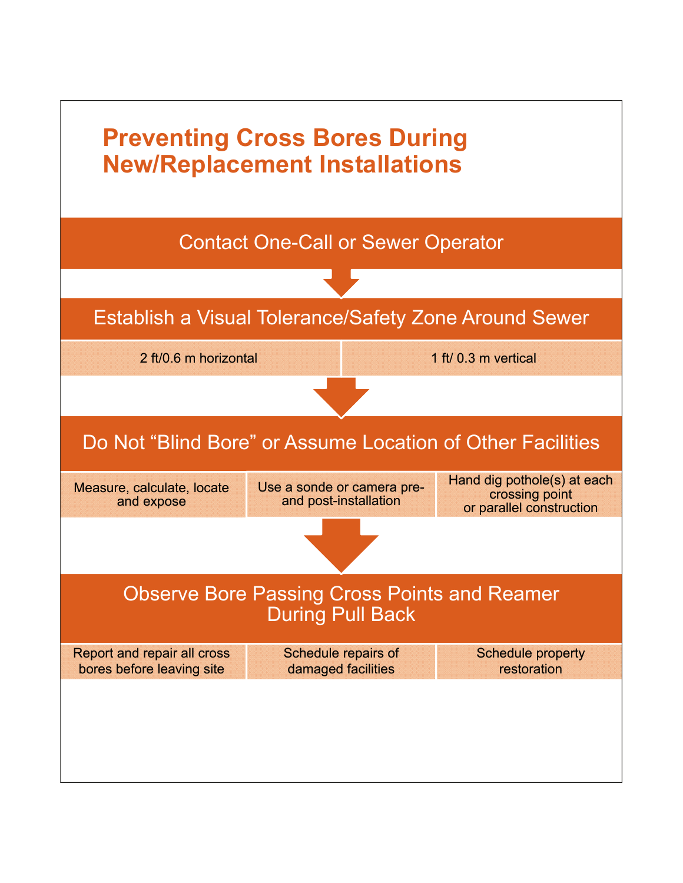